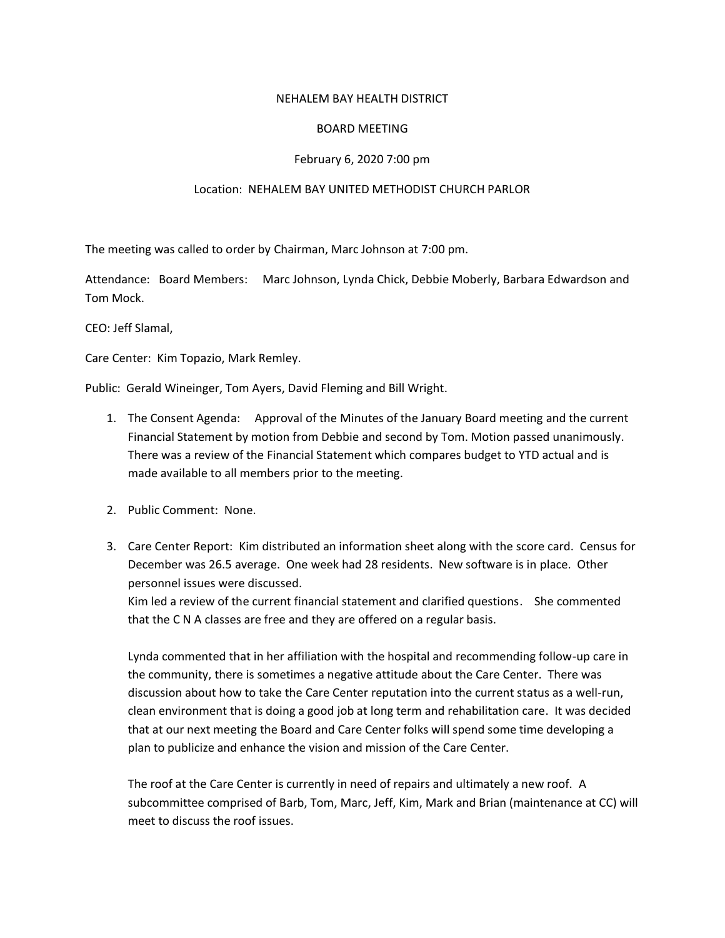## NEHALEM BAY HEALTH DISTRICT

## BOARD MEETING

# February 6, 2020 7:00 pm

## Location: NEHALEM BAY UNITED METHODIST CHURCH PARLOR

The meeting was called to order by Chairman, Marc Johnson at 7:00 pm.

Attendance: Board Members: Marc Johnson, Lynda Chick, Debbie Moberly, Barbara Edwardson and Tom Mock.

CEO: Jeff Slamal,

Care Center: Kim Topazio, Mark Remley.

Public: Gerald Wineinger, Tom Ayers, David Fleming and Bill Wright.

- 1. The Consent Agenda: Approval of the Minutes of the January Board meeting and the current Financial Statement by motion from Debbie and second by Tom. Motion passed unanimously. There was a review of the Financial Statement which compares budget to YTD actual and is made available to all members prior to the meeting.
- 2. Public Comment: None.
- 3. Care Center Report: Kim distributed an information sheet along with the score card. Census for December was 26.5 average. One week had 28 residents. New software is in place. Other personnel issues were discussed.

Kim led a review of the current financial statement and clarified questions. She commented that the C N A classes are free and they are offered on a regular basis.

Lynda commented that in her affiliation with the hospital and recommending follow-up care in the community, there is sometimes a negative attitude about the Care Center. There was discussion about how to take the Care Center reputation into the current status as a well-run, clean environment that is doing a good job at long term and rehabilitation care. It was decided that at our next meeting the Board and Care Center folks will spend some time developing a plan to publicize and enhance the vision and mission of the Care Center.

The roof at the Care Center is currently in need of repairs and ultimately a new roof. A subcommittee comprised of Barb, Tom, Marc, Jeff, Kim, Mark and Brian (maintenance at CC) will meet to discuss the roof issues.